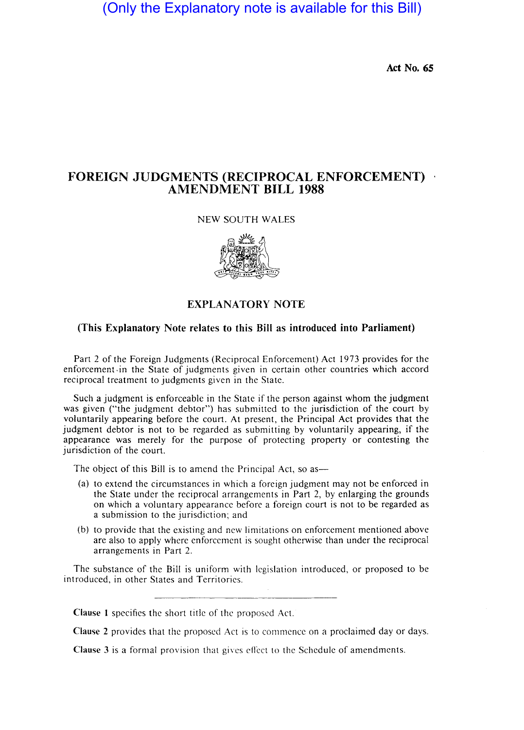# (Only the Explanatory note is available for this Bill)

Act No. *6S* 

# FOREIGN JUDGMENTS (RECIPROCAL ENFORCEMENT) AMENDMENT BILL 1988

## NEW SOUTH WALES



### EXPLANATORY NOTE

#### (This Explanatory Note relates to this Bill as introduced into Parliament)

Part 2 of the Foreign Judgments (Reciprocal Enforcement) Act 1973 provides for the enforcement .in the State of judgments given in certain other countries which accord reciprocal treatment to judgments given in the State.

Such a judgment is enforceable in the State if the person against whom the judgment was given ("the judgment debtor") has submitted to the jurisdiction of the court by voluntarily appearing before the court. At present, the Principal Act provides that the judgment debtor is not to be regarded as submitting by voluntarily appearing, if the appearance was merely for the purpose of protecting property or contesting the jurisdiction of the court.

The object of this Bill is to amend the Principal Act, so as—

- (a) to extend the circumstances in which a foreign judgment may not be enforced in the State under the reciprocal arrangements in Part 2, by enlarging the grounds on which a voluntary appearance before a foreign court is not to be regarded as a submission to the jurisdiction; and
- (b) to provide that the existing and new limitations on enforcement mentioned above are also to apply where enforcement is sought otherwise than under the reciprocal arrangements in Part 2.

The substance of the Bill is uniform with legislation introduced, or proposed to be introduced, in other States and Territories.

Clause 1 specifies the short title of the proposed Act.

Clause 2 provides that the proposed Act is to commence on a proclaimed day or days.

Clause 3 is a formal provision that gives effect to the Schedule of amendments.